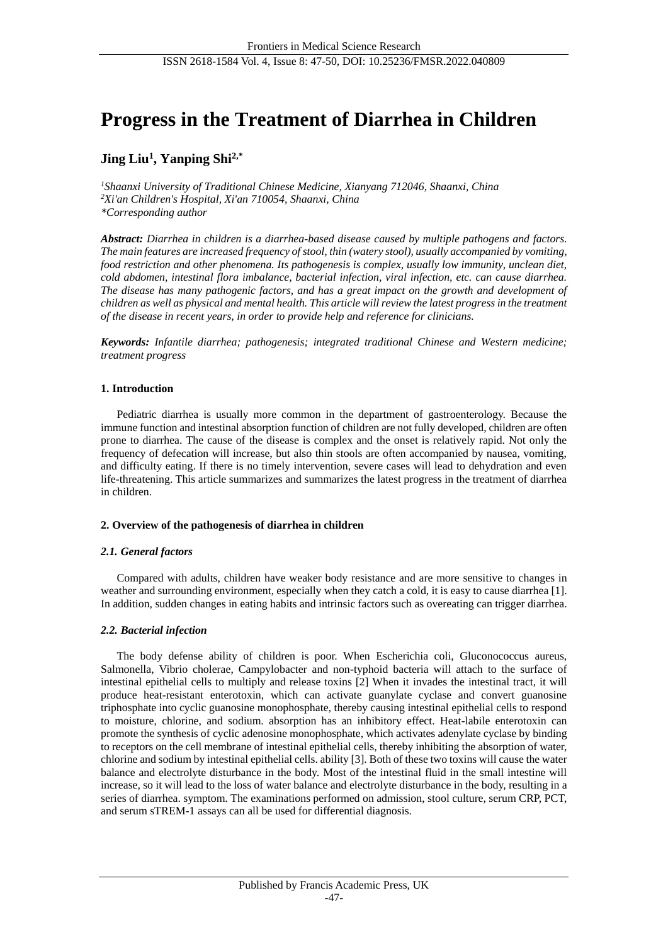# **Progress in the Treatment of Diarrhea in Children**

# **Jing Liu<sup>1</sup> , Yanping Shi2,\***

*<sup>1</sup>Shaanxi University of Traditional Chinese Medicine, Xianyang 712046, Shaanxi, China <sup>2</sup>Xi'an Children's Hospital, Xi'an 710054, Shaanxi, China \*Corresponding author*

*Abstract: Diarrhea in children is a diarrhea-based disease caused by multiple pathogens and factors. The main features are increased frequency of stool, thin (watery stool), usually accompanied by vomiting, food restriction and other phenomena. Its pathogenesis is complex, usually low immunity, unclean diet, cold abdomen, intestinal flora imbalance, bacterial infection, viral infection, etc. can cause diarrhea. The disease has many pathogenic factors, and has a great impact on the growth and development of children as well as physical and mental health. This article will review the latest progress in the treatment of the disease in recent years, in order to provide help and reference for clinicians.*

*Keywords: Infantile diarrhea; pathogenesis; integrated traditional Chinese and Western medicine; treatment progress*

# **1. Introduction**

Pediatric diarrhea is usually more common in the department of gastroenterology. Because the immune function and intestinal absorption function of children are not fully developed, children are often prone to diarrhea. The cause of the disease is complex and the onset is relatively rapid. Not only the frequency of defecation will increase, but also thin stools are often accompanied by nausea, vomiting, and difficulty eating. If there is no timely intervention, severe cases will lead to dehydration and even life-threatening. This article summarizes and summarizes the latest progress in the treatment of diarrhea in children.

#### **2. Overview of the pathogenesis of diarrhea in children**

# *2.1. General factors*

Compared with adults, children have weaker body resistance and are more sensitive to changes in weather and surrounding environment, especially when they catch a cold, it is easy to cause diarrhea [1]. In addition, sudden changes in eating habits and intrinsic factors such as overeating can trigger diarrhea.

# *2.2. Bacterial infection*

The body defense ability of children is poor. When Escherichia coli, Gluconococcus aureus, Salmonella, Vibrio cholerae, Campylobacter and non-typhoid bacteria will attach to the surface of intestinal epithelial cells to multiply and release toxins [2] When it invades the intestinal tract, it will produce heat-resistant enterotoxin, which can activate guanylate cyclase and convert guanosine triphosphate into cyclic guanosine monophosphate, thereby causing intestinal epithelial cells to respond to moisture, chlorine, and sodium. absorption has an inhibitory effect. Heat-labile enterotoxin can promote the synthesis of cyclic adenosine monophosphate, which activates adenylate cyclase by binding to receptors on the cell membrane of intestinal epithelial cells, thereby inhibiting the absorption of water, chlorine and sodium by intestinal epithelial cells. ability [3]. Both of these two toxins will cause the water balance and electrolyte disturbance in the body. Most of the intestinal fluid in the small intestine will increase, so it will lead to the loss of water balance and electrolyte disturbance in the body, resulting in a series of diarrhea. symptom. The examinations performed on admission, stool culture, serum CRP, PCT, and serum sTREM-1 assays can all be used for differential diagnosis.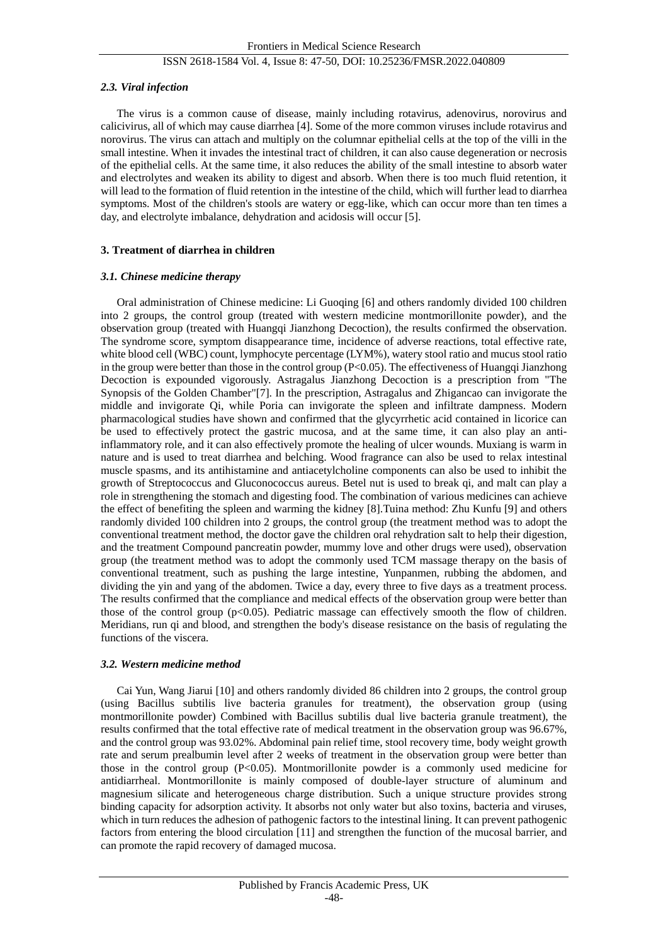#### ISSN 2618-1584 Vol. 4, Issue 8: 47-50, DOI: 10.25236/FMSR.2022.040809

#### *2.3. Viral infection*

The virus is a common cause of disease, mainly including rotavirus, adenovirus, norovirus and calicivirus, all of which may cause diarrhea [4]. Some of the more common viruses include rotavirus and norovirus. The virus can attach and multiply on the columnar epithelial cells at the top of the villi in the small intestine. When it invades the intestinal tract of children, it can also cause degeneration or necrosis of the epithelial cells. At the same time, it also reduces the ability of the small intestine to absorb water and electrolytes and weaken its ability to digest and absorb. When there is too much fluid retention, it will lead to the formation of fluid retention in the intestine of the child, which will further lead to diarrhea symptoms. Most of the children's stools are watery or egg-like, which can occur more than ten times a day, and electrolyte imbalance, dehydration and acidosis will occur [5].

#### **3. Treatment of diarrhea in children**

#### *3.1. Chinese medicine therapy*

Oral administration of Chinese medicine: Li Guoqing [6] and others randomly divided 100 children into 2 groups, the control group (treated with western medicine montmorillonite powder), and the observation group (treated with Huangqi Jianzhong Decoction), the results confirmed the observation. The syndrome score, symptom disappearance time, incidence of adverse reactions, total effective rate, white blood cell (WBC) count, lymphocyte percentage (LYM%), watery stool ratio and mucus stool ratio in the group were better than those in the control group  $(P<0.05)$ . The effectiveness of Huangqi Jianzhong Decoction is expounded vigorously. Astragalus Jianzhong Decoction is a prescription from "The Synopsis of the Golden Chamber"[7]. In the prescription, Astragalus and Zhigancao can invigorate the middle and invigorate Qi, while Poria can invigorate the spleen and infiltrate dampness. Modern pharmacological studies have shown and confirmed that the glycyrrhetic acid contained in licorice can be used to effectively protect the gastric mucosa, and at the same time, it can also play an antiinflammatory role, and it can also effectively promote the healing of ulcer wounds. Muxiang is warm in nature and is used to treat diarrhea and belching. Wood fragrance can also be used to relax intestinal muscle spasms, and its antihistamine and antiacetylcholine components can also be used to inhibit the growth of Streptococcus and Gluconococcus aureus. Betel nut is used to break qi, and malt can play a role in strengthening the stomach and digesting food. The combination of various medicines can achieve the effect of benefiting the spleen and warming the kidney [8].Tuina method: Zhu Kunfu [9] and others randomly divided 100 children into 2 groups, the control group (the treatment method was to adopt the conventional treatment method, the doctor gave the children oral rehydration salt to help their digestion, and the treatment Compound pancreatin powder, mummy love and other drugs were used), observation group (the treatment method was to adopt the commonly used TCM massage therapy on the basis of conventional treatment, such as pushing the large intestine, Yunpanmen, rubbing the abdomen, and dividing the yin and yang of the abdomen. Twice a day, every three to five days as a treatment process. The results confirmed that the compliance and medical effects of the observation group were better than those of the control group  $(p<0.05)$ . Pediatric massage can effectively smooth the flow of children. Meridians, run qi and blood, and strengthen the body's disease resistance on the basis of regulating the functions of the viscera.

#### *3.2. Western medicine method*

Cai Yun, Wang Jiarui [10] and others randomly divided 86 children into 2 groups, the control group (using Bacillus subtilis live bacteria granules for treatment), the observation group (using montmorillonite powder) Combined with Bacillus subtilis dual live bacteria granule treatment), the results confirmed that the total effective rate of medical treatment in the observation group was 96.67%, and the control group was 93.02%. Abdominal pain relief time, stool recovery time, body weight growth rate and serum prealbumin level after 2 weeks of treatment in the observation group were better than those in the control group  $(P<0.05)$ . Montmorillonite powder is a commonly used medicine for antidiarrheal. Montmorillonite is mainly composed of double-layer structure of aluminum and magnesium silicate and heterogeneous charge distribution. Such a unique structure provides strong binding capacity for adsorption activity. It absorbs not only water but also toxins, bacteria and viruses, which in turn reduces the adhesion of pathogenic factors to the intestinal lining. It can prevent pathogenic factors from entering the blood circulation [11] and strengthen the function of the mucosal barrier, and can promote the rapid recovery of damaged mucosa.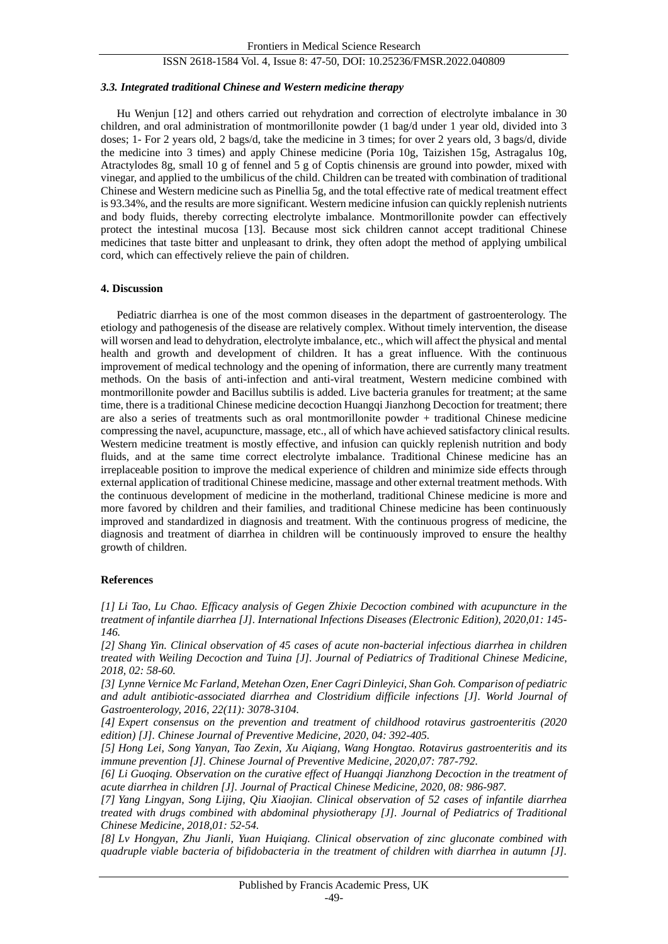#### ISSN 2618-1584 Vol. 4, Issue 8: 47-50, DOI: 10.25236/FMSR.2022.040809

#### *3.3. Integrated traditional Chinese and Western medicine therapy*

Hu Wenjun [12] and others carried out rehydration and correction of electrolyte imbalance in 30 children, and oral administration of montmorillonite powder (1 bag/d under 1 year old, divided into 3 doses; 1- For 2 years old, 2 bags/d, take the medicine in 3 times; for over 2 years old, 3 bags/d, divide the medicine into 3 times) and apply Chinese medicine (Poria 10g, Taizishen 15g, Astragalus 10g, Atractylodes 8g, small 10 g of fennel and 5 g of Coptis chinensis are ground into powder, mixed with vinegar, and applied to the umbilicus of the child. Children can be treated with combination of traditional Chinese and Western medicine such as Pinellia 5g, and the total effective rate of medical treatment effect is 93.34%, and the results are more significant. Western medicine infusion can quickly replenish nutrients and body fluids, thereby correcting electrolyte imbalance. Montmorillonite powder can effectively protect the intestinal mucosa [13]. Because most sick children cannot accept traditional Chinese medicines that taste bitter and unpleasant to drink, they often adopt the method of applying umbilical cord, which can effectively relieve the pain of children.

#### **4. Discussion**

Pediatric diarrhea is one of the most common diseases in the department of gastroenterology. The etiology and pathogenesis of the disease are relatively complex. Without timely intervention, the disease will worsen and lead to dehydration, electrolyte imbalance, etc., which will affect the physical and mental health and growth and development of children. It has a great influence. With the continuous improvement of medical technology and the opening of information, there are currently many treatment methods. On the basis of anti-infection and anti-viral treatment, Western medicine combined with montmorillonite powder and Bacillus subtilis is added. Live bacteria granules for treatment; at the same time, there is a traditional Chinese medicine decoction Huangqi Jianzhong Decoction for treatment; there are also a series of treatments such as oral montmorillonite powder + traditional Chinese medicine compressing the navel, acupuncture, massage, etc., all of which have achieved satisfactory clinical results. Western medicine treatment is mostly effective, and infusion can quickly replenish nutrition and body fluids, and at the same time correct electrolyte imbalance. Traditional Chinese medicine has an irreplaceable position to improve the medical experience of children and minimize side effects through external application of traditional Chinese medicine, massage and other external treatment methods. With the continuous development of medicine in the motherland, traditional Chinese medicine is more and more favored by children and their families, and traditional Chinese medicine has been continuously improved and standardized in diagnosis and treatment. With the continuous progress of medicine, the diagnosis and treatment of diarrhea in children will be continuously improved to ensure the healthy growth of children.

#### **References**

*[1] Li Tao, Lu Chao. Efficacy analysis of Gegen Zhixie Decoction combined with acupuncture in the treatment of infantile diarrhea [J]. International Infections Diseases (Electronic Edition), 2020,01: 145- 146.*

*[2] Shang Yin. Clinical observation of 45 cases of acute non-bacterial infectious diarrhea in children treated with Weiling Decoction and Tuina [J]. Journal of Pediatrics of Traditional Chinese Medicine, 2018, 02: 58-60.*

*[3] Lynne Vernice Mc Farland, Metehan Ozen, Ener Cagri Dinleyici, Shan Goh. Comparison of pediatric and adult antibiotic-associated diarrhea and Clostridium difficile infections [J]. World Journal of Gastroenterology, 2016, 22(11): 3078-3104.*

*[4] Expert consensus on the prevention and treatment of childhood rotavirus gastroenteritis (2020 edition) [J]. Chinese Journal of Preventive Medicine, 2020, 04: 392-405.*

*[5] Hong Lei, Song Yanyan, Tao Zexin, Xu Aiqiang, Wang Hongtao. Rotavirus gastroenteritis and its immune prevention [J]. Chinese Journal of Preventive Medicine, 2020,07: 787-792.*

*[6] Li Guoqing. Observation on the curative effect of Huangqi Jianzhong Decoction in the treatment of acute diarrhea in children [J]. Journal of Practical Chinese Medicine, 2020, 08: 986-987.*

*[7] Yang Lingyan, Song Lijing, Qiu Xiaojian. Clinical observation of 52 cases of infantile diarrhea treated with drugs combined with abdominal physiotherapy [J]. Journal of Pediatrics of Traditional Chinese Medicine, 2018,01: 52-54.*

*[8] Lv Hongyan, Zhu Jianli, Yuan Huiqiang. Clinical observation of zinc gluconate combined with quadruple viable bacteria of bifidobacteria in the treatment of children with diarrhea in autumn [J].*